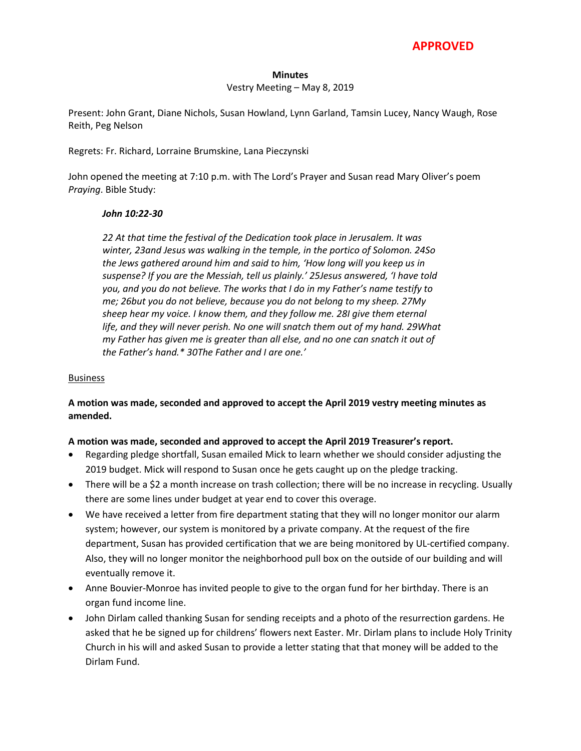# **APPROVED**

#### **Minutes**

#### Vestry Meeting – May 8, 2019

Present: John Grant, Diane Nichols, Susan Howland, Lynn Garland, Tamsin Lucey, Nancy Waugh, Rose Reith, Peg Nelson

Regrets: Fr. Richard, Lorraine Brumskine, Lana Pieczynski

John opened the meeting at 7:10 p.m. with The Lord's Prayer and Susan read Mary Oliver's poem *Praying*. Bible Study:

#### *John 10:22-30*

*22 At that time the festival of the Dedication took place in Jerusalem. It was winter, 23and Jesus was walking in the temple, in the portico of Solomon. 24So the Jews gathered around him and said to him, 'How long will you keep us in suspense? If you are the Messiah, tell us plainly.' 25Jesus answered, 'I have told you, and you do not believe. The works that I do in my Father's name testify to me; 26but you do not believe, because you do not belong to my sheep. 27My sheep hear my voice. I know them, and they follow me. 28I give them eternal life, and they will never perish. No one will snatch them out of my hand. 29What my Father has given me is greater than all else, and no one can snatch it out of the Father's hand.\* 30The Father and I are one.'*

#### Business

# **A motion was made, seconded and approved to accept the April 2019 vestry meeting minutes as amended.**

### **A motion was made, seconded and approved to accept the April 2019 Treasurer's report.**

- Regarding pledge shortfall, Susan emailed Mick to learn whether we should consider adjusting the 2019 budget. Mick will respond to Susan once he gets caught up on the pledge tracking.
- There will be a \$2 a month increase on trash collection; there will be no increase in recycling. Usually there are some lines under budget at year end to cover this overage.
- We have received a letter from fire department stating that they will no longer monitor our alarm system; however, our system is monitored by a private company. At the request of the fire department, Susan has provided certification that we are being monitored by UL-certified company. Also, they will no longer monitor the neighborhood pull box on the outside of our building and will eventually remove it.
- Anne Bouvier-Monroe has invited people to give to the organ fund for her birthday. There is an organ fund income line.
- John Dirlam called thanking Susan for sending receipts and a photo of the resurrection gardens. He asked that he be signed up for childrens' flowers next Easter. Mr. Dirlam plans to include Holy Trinity Church in his will and asked Susan to provide a letter stating that that money will be added to the Dirlam Fund.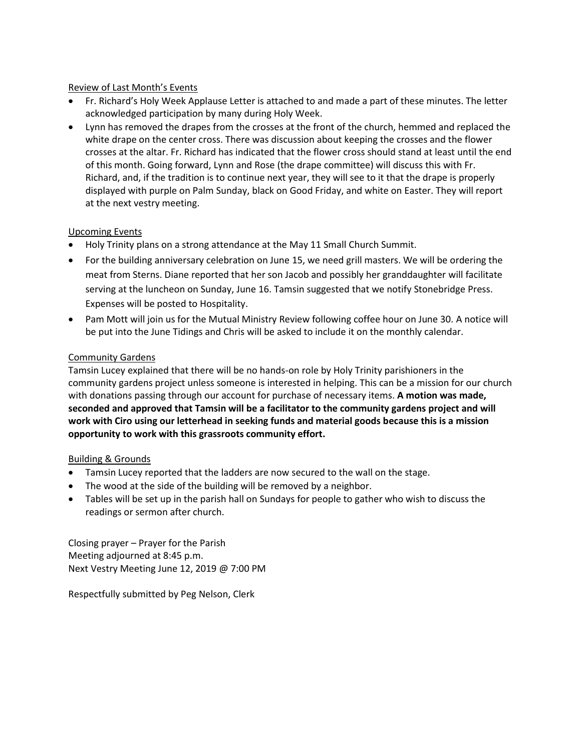### Review of Last Month's Events

- Fr. Richard's Holy Week Applause Letter is attached to and made a part of these minutes. The letter acknowledged participation by many during Holy Week.
- Lynn has removed the drapes from the crosses at the front of the church, hemmed and replaced the white drape on the center cross. There was discussion about keeping the crosses and the flower crosses at the altar. Fr. Richard has indicated that the flower cross should stand at least until the end of this month. Going forward, Lynn and Rose (the drape committee) will discuss this with Fr. Richard, and, if the tradition is to continue next year, they will see to it that the drape is properly displayed with purple on Palm Sunday, black on Good Friday, and white on Easter. They will report at the next vestry meeting.

# Upcoming Events

- Holy Trinity plans on a strong attendance at the May 11 Small Church Summit.
- For the building anniversary celebration on June 15, we need grill masters. We will be ordering the meat from Sterns. Diane reported that her son Jacob and possibly her granddaughter will facilitate serving at the luncheon on Sunday, June 16. Tamsin suggested that we notify Stonebridge Press. Expenses will be posted to Hospitality.
- Pam Mott will join us for the Mutual Ministry Review following coffee hour on June 30. A notice will be put into the June Tidings and Chris will be asked to include it on the monthly calendar.

# Community Gardens

Tamsin Lucey explained that there will be no hands-on role by Holy Trinity parishioners in the community gardens project unless someone is interested in helping. This can be a mission for our church with donations passing through our account for purchase of necessary items. **A motion was made, seconded and approved that Tamsin will be a facilitator to the community gardens project and will work with Ciro using our letterhead in seeking funds and material goods because this is a mission opportunity to work with this grassroots community effort.**

### Building & Grounds

- Tamsin Lucey reported that the ladders are now secured to the wall on the stage.
- The wood at the side of the building will be removed by a neighbor.
- Tables will be set up in the parish hall on Sundays for people to gather who wish to discuss the readings or sermon after church.

Closing prayer – Prayer for the Parish Meeting adjourned at 8:45 p.m. Next Vestry Meeting June 12, 2019 @ 7:00 PM

Respectfully submitted by Peg Nelson, Clerk